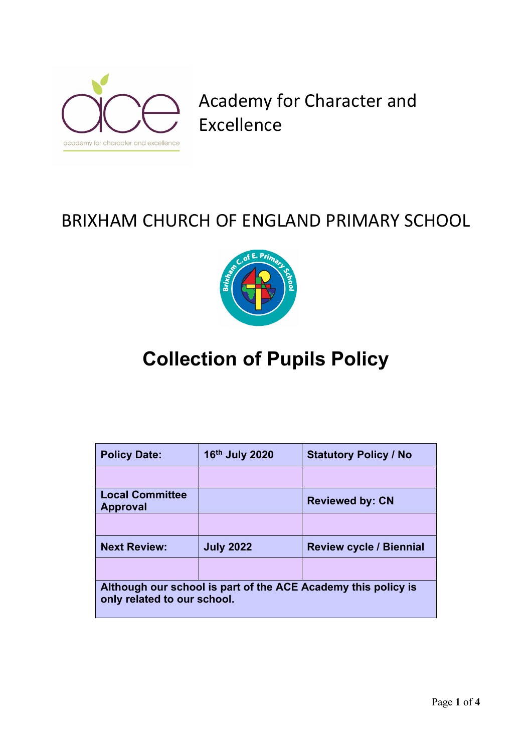

Academy for Character and Excellence

# BRIXHAM CHURCH OF ENGLAND PRIMARY SCHOOL



# **Collection of Pupils Policy**

| <b>Policy Date:</b>                                                                          | 16th July 2020   | <b>Statutory Policy / No</b>   |  |  |
|----------------------------------------------------------------------------------------------|------------------|--------------------------------|--|--|
|                                                                                              |                  |                                |  |  |
| <b>Local Committee</b><br><b>Approval</b>                                                    |                  | <b>Reviewed by: CN</b>         |  |  |
|                                                                                              |                  |                                |  |  |
| <b>Next Review:</b>                                                                          | <b>July 2022</b> | <b>Review cycle / Biennial</b> |  |  |
|                                                                                              |                  |                                |  |  |
| Although our school is part of the ACE Academy this policy is<br>only related to our school. |                  |                                |  |  |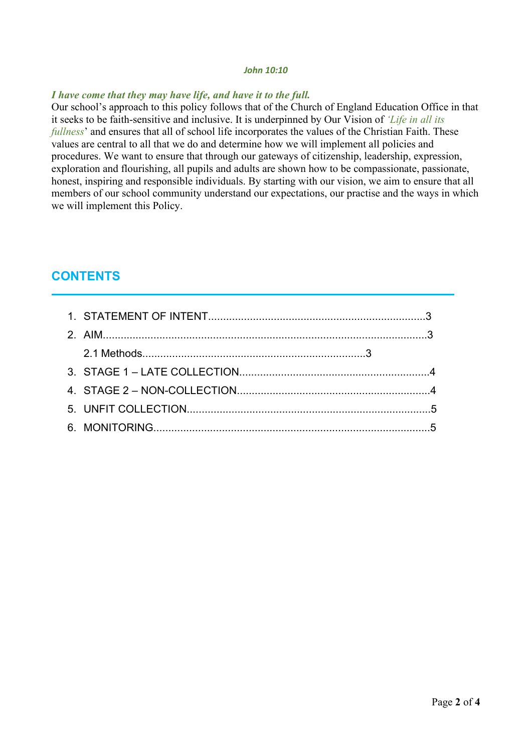#### *John 10:10*

#### *I have come that they may have life, and have it to the full.*

Our school's approach to this policy follows that of the Church of England Education Office in that it seeks to be faith-sensitive and inclusive. It is underpinned by Our Vision of *'Life in all its fullness*' and ensures that all of school life incorporates the values of the Christian Faith. These values are central to all that we do and determine how we will implement all policies and procedures. We want to ensure that through our gateways of citizenship, leadership, expression, exploration and flourishing, all pupils and adults are shown how to be compassionate, passionate, honest, inspiring and responsible individuals. By starting with our vision, we aim to ensure that all members of our school community understand our expectations, our practise and the ways in which we will implement this Policy.

## **CONTENTS**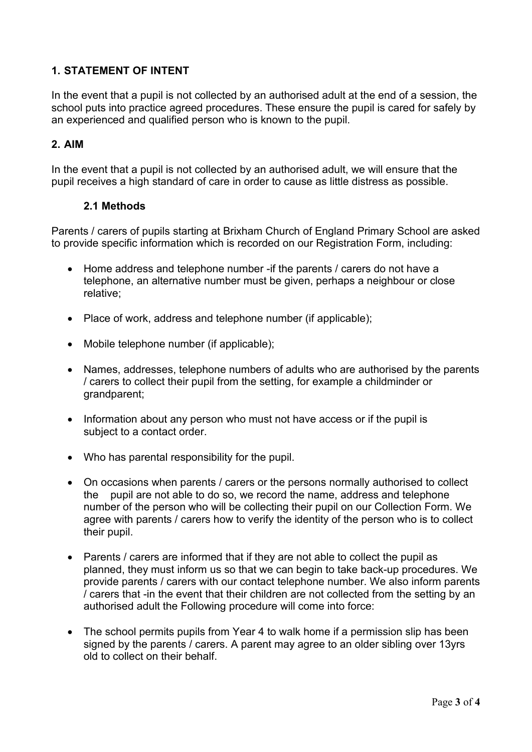#### **1. STATEMENT OF INTENT**

In the event that a pupil is not collected by an authorised adult at the end of a session, the school puts into practice agreed procedures. These ensure the pupil is cared for safely by an experienced and qualified person who is known to the pupil.

#### **2. AIM**

In the event that a pupil is not collected by an authorised adult, we will ensure that the pupil receives a high standard of care in order to cause as little distress as possible.

#### **2.1 Methods**

Parents / carers of pupils starting at Brixham Church of England Primary School are asked to provide specific information which is recorded on our Registration Form, including:

- Home address and telephone number -if the parents / carers do not have a telephone, an alternative number must be given, perhaps a neighbour or close relative;
- Place of work, address and telephone number (if applicable):
- Mobile telephone number (if applicable);
- Names, addresses, telephone numbers of adults who are authorised by the parents / carers to collect their pupil from the setting, for example a childminder or grandparent;
- Information about any person who must not have access or if the pupil is subject to a contact order.
- Who has parental responsibility for the pupil.
- On occasions when parents / carers or the persons normally authorised to collect the pupil are not able to do so, we record the name, address and telephone number of the person who will be collecting their pupil on our Collection Form. We agree with parents / carers how to verify the identity of the person who is to collect their pupil.
- Parents / carers are informed that if they are not able to collect the pupil as planned, they must inform us so that we can begin to take back-up procedures. We provide parents / carers with our contact telephone number. We also inform parents / carers that -in the event that their children are not collected from the setting by an authorised adult the Following procedure will come into force:
- The school permits pupils from Year 4 to walk home if a permission slip has been signed by the parents / carers. A parent may agree to an older sibling over 13yrs old to collect on their behalf.